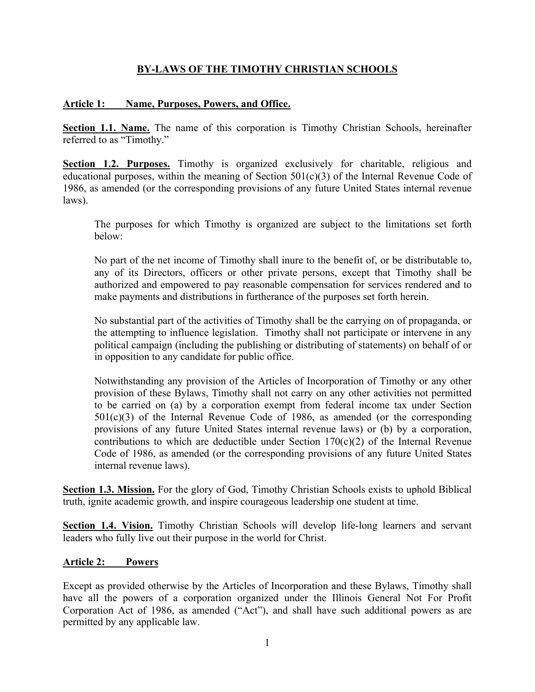# **BY-LAWS OF THE TIMOTHY CHRISTIAN SCHOOLS**

#### **Article 1: Name, Purposes, Powers, and Office.**

**Section 1.1. Name.** The name of this corporation is Timothy Christian Schools, hereinafter referred to as "Timothy."

**Section 1.2. Purposes.** Timothy is organized exclusively for charitable, religious and educational purposes, within the meaning of Section 501(c)(3) of the Internal Revenue Code of 1986, as amended (or the corresponding provisions of any future United States internal revenue laws).

The purposes for which Timothy is organized are subject to the limitations set forth below:

No part of the net income of Timothy shall inure to the benefit of, or be distributable to, any of its Directors, officers or other private persons, except that Timothy shall be authorized and empowered to pay reasonable compensation for services rendered and to make payments and distributions in furtherance of the purposes set forth herein.

No substantial part of the activities of Timothy shall be the carrying on of propaganda, or the attempting to influence legislation. Timothy shall not participate or intervene in any political campaign (including the publishing or distributing of statements) on behalf of or in opposition to any candidate for public office.

Notwithstanding any provision of the Articles of Incorporation of Timothy or any other provision of these Bylaws, Timothy shall not carry on any other activities not permitted to be carried on (a) by a corporation exempt from federal income tax under Section  $501(c)(3)$  of the Internal Revenue Code of 1986, as amended (or the corresponding provisions of any future United States internal revenue laws) or (b) by a corporation, contributions to which are deductible under Section  $170(c)(2)$  of the Internal Revenue Code of 1986, as amended (or the corresponding provisions of any future United States internal revenue laws).

**Section 1.3. Mission.** For the glory of God, Timothy Christian Schools exists to uphold Biblical truth, ignite academic growth, and inspire courageous leadership one student at time.

**Section 1.4. Vision.** Timothy Christian Schools will develop life-long learners and servant leaders who fully live out their purpose in the world for Christ.

# **Article 2: Powers**

Except as provided otherwise by the Articles of Incorporation and these Bylaws, Timothy shall have all the powers of a corporation organized under the Illinois General Not For Profit Corporation Act of 1986, as amended ("Act"), and shall have such additional powers as are permitted by any applicable law.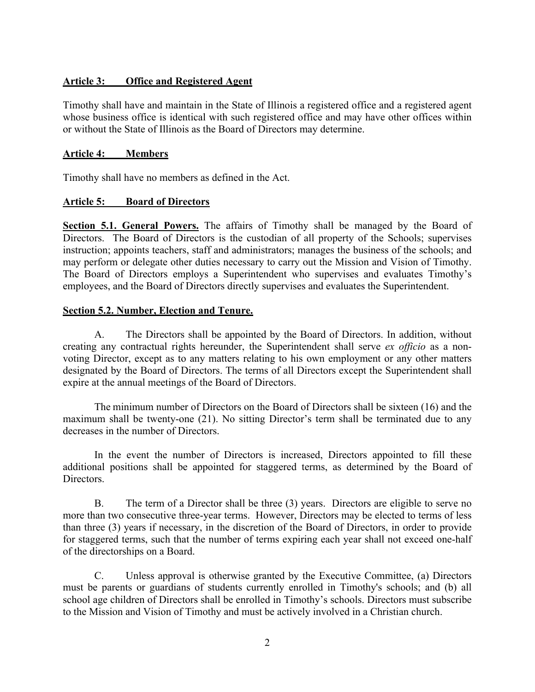#### **Article 3: Office and Registered Agent**

Timothy shall have and maintain in the State of Illinois a registered office and a registered agent whose business office is identical with such registered office and may have other offices within or without the State of Illinois as the Board of Directors may determine.

#### **Article 4: Members**

Timothy shall have no members as defined in the Act.

#### **Article 5: Board of Directors**

**Section 5.1. General Powers.** The affairs of Timothy shall be managed by the Board of Directors. The Board of Directors is the custodian of all property of the Schools; supervises instruction; appoints teachers, staff and administrators; manages the business of the schools; and may perform or delegate other duties necessary to carry out the Mission and Vision of Timothy. The Board of Directors employs a Superintendent who supervises and evaluates Timothy's employees, and the Board of Directors directly supervises and evaluates the Superintendent.

#### **Section 5.2. Number, Election and Tenure.**

A. The Directors shall be appointed by the Board of Directors. In addition, without creating any contractual rights hereunder, the Superintendent shall serve *ex officio* as a nonvoting Director, except as to any matters relating to his own employment or any other matters designated by the Board of Directors. The terms of all Directors except the Superintendent shall expire at the annual meetings of the Board of Directors.

The minimum number of Directors on the Board of Directors shall be sixteen (16) and the maximum shall be twenty-one (21). No sitting Director's term shall be terminated due to any decreases in the number of Directors.

In the event the number of Directors is increased, Directors appointed to fill these additional positions shall be appointed for staggered terms, as determined by the Board of Directors.

B. The term of a Director shall be three (3) years. Directors are eligible to serve no more than two consecutive three-year terms. However, Directors may be elected to terms of less than three (3) years if necessary, in the discretion of the Board of Directors, in order to provide for staggered terms, such that the number of terms expiring each year shall not exceed one-half of the directorships on a Board.

C. Unless approval is otherwise granted by the Executive Committee, (a) Directors must be parents or guardians of students currently enrolled in Timothy's schools; and (b) all school age children of Directors shall be enrolled in Timothy's schools. Directors must subscribe to the Mission and Vision of Timothy and must be actively involved in a Christian church.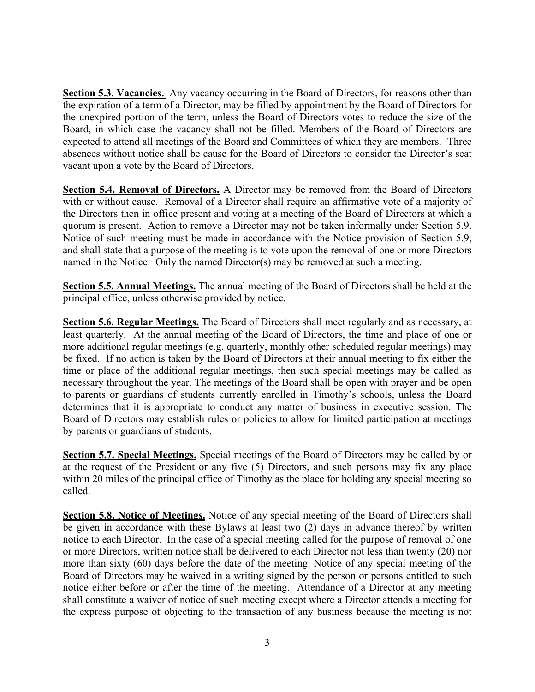**Section 5.3. Vacancies.** Any vacancy occurring in the Board of Directors, for reasons other than the expiration of a term of a Director, may be filled by appointment by the Board of Directors for the unexpired portion of the term, unless the Board of Directors votes to reduce the size of the Board, in which case the vacancy shall not be filled. Members of the Board of Directors are expected to attend all meetings of the Board and Committees of which they are members. Three absences without notice shall be cause for the Board of Directors to consider the Director's seat vacant upon a vote by the Board of Directors.

**Section 5.4. Removal of Directors.** A Director may be removed from the Board of Directors with or without cause. Removal of a Director shall require an affirmative vote of a majority of the Directors then in office present and voting at a meeting of the Board of Directors at which a quorum is present. Action to remove a Director may not be taken informally under Section 5.9. Notice of such meeting must be made in accordance with the Notice provision of Section 5.9, and shall state that a purpose of the meeting is to vote upon the removal of one or more Directors named in the Notice. Only the named Director(s) may be removed at such a meeting.

**Section 5.5. Annual Meetings.** The annual meeting of the Board of Directors shall be held at the principal office, unless otherwise provided by notice.

**Section 5.6. Regular Meetings.** The Board of Directors shall meet regularly and as necessary, at least quarterly. At the annual meeting of the Board of Directors, the time and place of one or more additional regular meetings (e.g. quarterly, monthly other scheduled regular meetings) may be fixed. If no action is taken by the Board of Directors at their annual meeting to fix either the time or place of the additional regular meetings, then such special meetings may be called as necessary throughout the year. The meetings of the Board shall be open with prayer and be open to parents or guardians of students currently enrolled in Timothy's schools, unless the Board determines that it is appropriate to conduct any matter of business in executive session. The Board of Directors may establish rules or policies to allow for limited participation at meetings by parents or guardians of students.

**Section 5.7. Special Meetings.** Special meetings of the Board of Directors may be called by or at the request of the President or any five (5) Directors, and such persons may fix any place within 20 miles of the principal office of Timothy as the place for holding any special meeting so called.

**Section 5.8. Notice of Meetings.** Notice of any special meeting of the Board of Directors shall be given in accordance with these Bylaws at least two (2) days in advance thereof by written notice to each Director. In the case of a special meeting called for the purpose of removal of one or more Directors, written notice shall be delivered to each Director not less than twenty (20) nor more than sixty (60) days before the date of the meeting. Notice of any special meeting of the Board of Directors may be waived in a writing signed by the person or persons entitled to such notice either before or after the time of the meeting. Attendance of a Director at any meeting shall constitute a waiver of notice of such meeting except where a Director attends a meeting for the express purpose of objecting to the transaction of any business because the meeting is not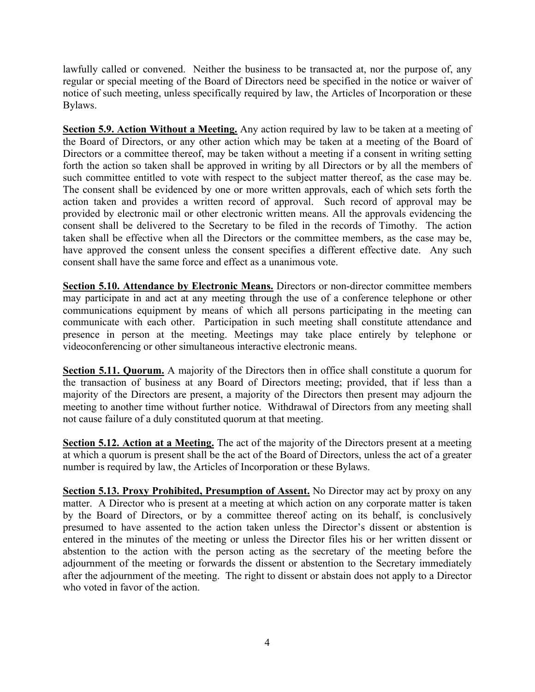lawfully called or convened. Neither the business to be transacted at, nor the purpose of, any regular or special meeting of the Board of Directors need be specified in the notice or waiver of notice of such meeting, unless specifically required by law, the Articles of Incorporation or these Bylaws.

**Section 5.9. Action Without a Meeting.** Any action required by law to be taken at a meeting of the Board of Directors, or any other action which may be taken at a meeting of the Board of Directors or a committee thereof, may be taken without a meeting if a consent in writing setting forth the action so taken shall be approved in writing by all Directors or by all the members of such committee entitled to vote with respect to the subject matter thereof, as the case may be. The consent shall be evidenced by one or more written approvals, each of which sets forth the action taken and provides a written record of approval. Such record of approval may be provided by electronic mail or other electronic written means. All the approvals evidencing the consent shall be delivered to the Secretary to be filed in the records of Timothy. The action taken shall be effective when all the Directors or the committee members, as the case may be, have approved the consent unless the consent specifies a different effective date. Any such consent shall have the same force and effect as a unanimous vote.

**Section 5.10. Attendance by Electronic Means.** Directors or non-director committee members may participate in and act at any meeting through the use of a conference telephone or other communications equipment by means of which all persons participating in the meeting can communicate with each other. Participation in such meeting shall constitute attendance and presence in person at the meeting. Meetings may take place entirely by telephone or videoconferencing or other simultaneous interactive electronic means.

**Section 5.11. Quorum.** A majority of the Directors then in office shall constitute a quorum for the transaction of business at any Board of Directors meeting; provided, that if less than a majority of the Directors are present, a majority of the Directors then present may adjourn the meeting to another time without further notice. Withdrawal of Directors from any meeting shall not cause failure of a duly constituted quorum at that meeting.

**Section 5.12. Action at a Meeting.** The act of the majority of the Directors present at a meeting at which a quorum is present shall be the act of the Board of Directors, unless the act of a greater number is required by law, the Articles of Incorporation or these Bylaws.

**Section 5.13. Proxy Prohibited, Presumption of Assent.** No Director may act by proxy on any matter. A Director who is present at a meeting at which action on any corporate matter is taken by the Board of Directors, or by a committee thereof acting on its behalf, is conclusively presumed to have assented to the action taken unless the Director's dissent or abstention is entered in the minutes of the meeting or unless the Director files his or her written dissent or abstention to the action with the person acting as the secretary of the meeting before the adjournment of the meeting or forwards the dissent or abstention to the Secretary immediately after the adjournment of the meeting. The right to dissent or abstain does not apply to a Director who voted in favor of the action.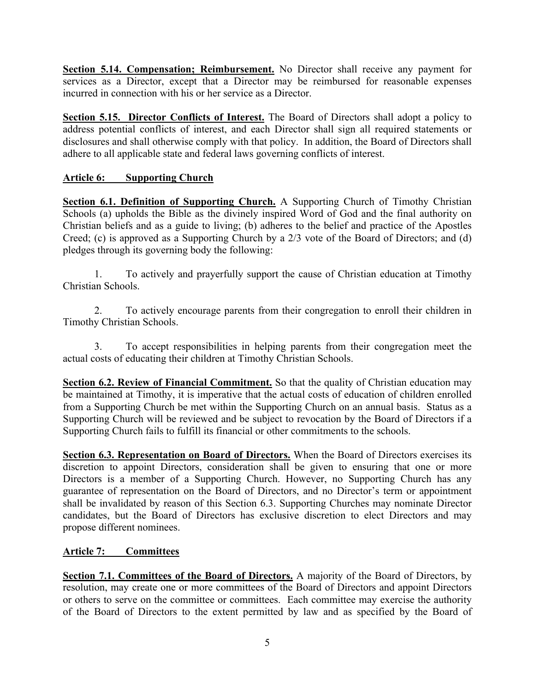**Section 5.14. Compensation; Reimbursement.** No Director shall receive any payment for services as a Director, except that a Director may be reimbursed for reasonable expenses incurred in connection with his or her service as a Director.

**Section 5.15. Director Conflicts of Interest.** The Board of Directors shall adopt a policy to address potential conflicts of interest, and each Director shall sign all required statements or disclosures and shall otherwise comply with that policy. In addition, the Board of Directors shall adhere to all applicable state and federal laws governing conflicts of interest.

# **Article 6: Supporting Church**

**Section 6.1. Definition of Supporting Church.** A Supporting Church of Timothy Christian Schools (a) upholds the Bible as the divinely inspired Word of God and the final authority on Christian beliefs and as a guide to living; (b) adheres to the belief and practice of the Apostles Creed; (c) is approved as a Supporting Church by a 2/3 vote of the Board of Directors; and (d) pledges through its governing body the following:

1. To actively and prayerfully support the cause of Christian education at Timothy Christian Schools.

2. To actively encourage parents from their congregation to enroll their children in Timothy Christian Schools.

3. To accept responsibilities in helping parents from their congregation meet the actual costs of educating their children at Timothy Christian Schools.

**Section 6.2. Review of Financial Commitment.** So that the quality of Christian education may be maintained at Timothy, it is imperative that the actual costs of education of children enrolled from a Supporting Church be met within the Supporting Church on an annual basis. Status as a Supporting Church will be reviewed and be subject to revocation by the Board of Directors if a Supporting Church fails to fulfill its financial or other commitments to the schools.

**Section 6.3. Representation on Board of Directors.** When the Board of Directors exercises its discretion to appoint Directors, consideration shall be given to ensuring that one or more Directors is a member of a Supporting Church. However, no Supporting Church has any guarantee of representation on the Board of Directors, and no Director's term or appointment shall be invalidated by reason of this Section 6.3. Supporting Churches may nominate Director candidates, but the Board of Directors has exclusive discretion to elect Directors and may propose different nominees.

#### **Article 7: Committees**

**Section 7.1. Committees of the Board of Directors.** A majority of the Board of Directors, by resolution, may create one or more committees of the Board of Directors and appoint Directors or others to serve on the committee or committees. Each committee may exercise the authority of the Board of Directors to the extent permitted by law and as specified by the Board of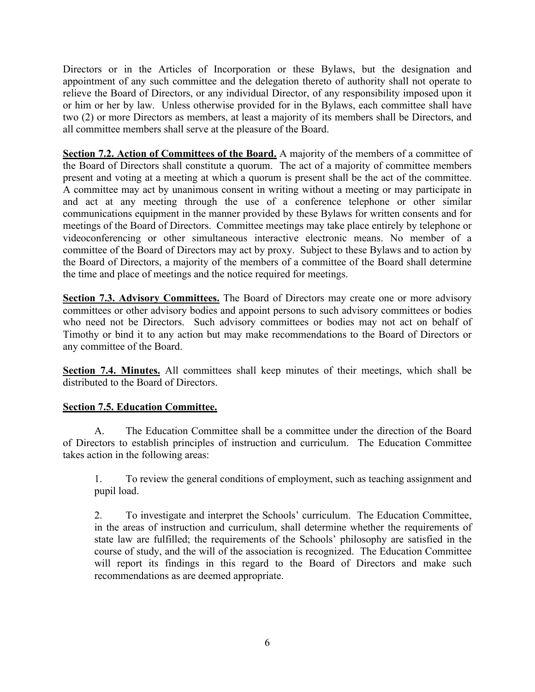Directors or in the Articles of Incorporation or these Bylaws, but the designation and appointment of any such committee and the delegation thereto of authority shall not operate to relieve the Board of Directors, or any individual Director, of any responsibility imposed upon it or him or her by law. Unless otherwise provided for in the Bylaws, each committee shall have two (2) or more Directors as members, at least a majority of its members shall be Directors, and all committee members shall serve at the pleasure of the Board.

**Section 7.2. Action of Committees of the Board.** A majority of the members of a committee of the Board of Directors shall constitute a quorum. The act of a majority of committee members present and voting at a meeting at which a quorum is present shall be the act of the committee. A committee may act by unanimous consent in writing without a meeting or may participate in and act at any meeting through the use of a conference telephone or other similar communications equipment in the manner provided by these Bylaws for written consents and for meetings of the Board of Directors. Committee meetings may take place entirely by telephone or videoconferencing or other simultaneous interactive electronic means. No member of a committee of the Board of Directors may act by proxy. Subject to these Bylaws and to action by the Board of Directors, a majority of the members of a committee of the Board shall determine the time and place of meetings and the notice required for meetings.

**Section 7.3. Advisory Committees.** The Board of Directors may create one or more advisory committees or other advisory bodies and appoint persons to such advisory committees or bodies who need not be Directors. Such advisory committees or bodies may not act on behalf of Timothy or bind it to any action but may make recommendations to the Board of Directors or any committee of the Board.

**Section 7.4. Minutes.** All committees shall keep minutes of their meetings, which shall be distributed to the Board of Directors.

# **Section 7.5. Education Committee.**

A. The Education Committee shall be a committee under the direction of the Board of Directors to establish principles of instruction and curriculum. The Education Committee takes action in the following areas:

1. To review the general conditions of employment, such as teaching assignment and pupil load.

2. To investigate and interpret the Schools' curriculum. The Education Committee, in the areas of instruction and curriculum, shall determine whether the requirements of state law are fulfilled; the requirements of the Schools' philosophy are satisfied in the course of study, and the will of the association is recognized. The Education Committee will report its findings in this regard to the Board of Directors and make such recommendations as are deemed appropriate.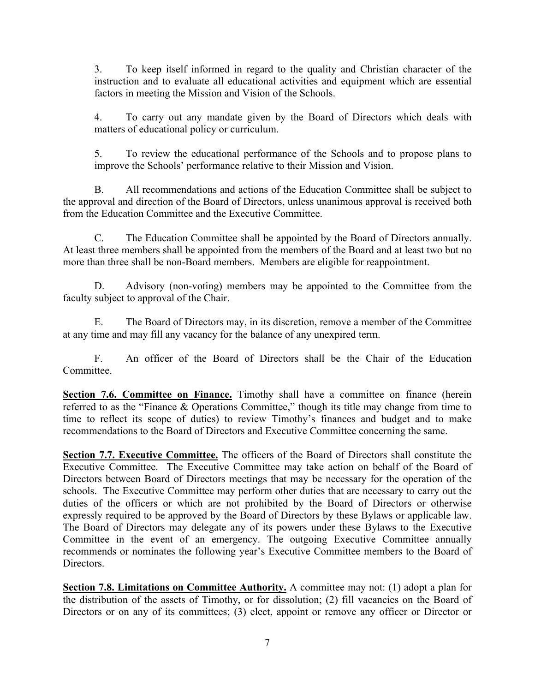3. To keep itself informed in regard to the quality and Christian character of the instruction and to evaluate all educational activities and equipment which are essential factors in meeting the Mission and Vision of the Schools.

4. To carry out any mandate given by the Board of Directors which deals with matters of educational policy or curriculum.

5. To review the educational performance of the Schools and to propose plans to improve the Schools' performance relative to their Mission and Vision.

B. All recommendations and actions of the Education Committee shall be subject to the approval and direction of the Board of Directors, unless unanimous approval is received both from the Education Committee and the Executive Committee.

C. The Education Committee shall be appointed by the Board of Directors annually. At least three members shall be appointed from the members of the Board and at least two but no more than three shall be non-Board members. Members are eligible for reappointment.

D. Advisory (non-voting) members may be appointed to the Committee from the faculty subject to approval of the Chair.

E. The Board of Directors may, in its discretion, remove a member of the Committee at any time and may fill any vacancy for the balance of any unexpired term.

F. An officer of the Board of Directors shall be the Chair of the Education Committee.

**Section 7.6. Committee on Finance.** Timothy shall have a committee on finance (herein referred to as the "Finance & Operations Committee," though its title may change from time to time to reflect its scope of duties) to review Timothy's finances and budget and to make recommendations to the Board of Directors and Executive Committee concerning the same.

**Section 7.7. Executive Committee.** The officers of the Board of Directors shall constitute the Executive Committee. The Executive Committee may take action on behalf of the Board of Directors between Board of Directors meetings that may be necessary for the operation of the schools. The Executive Committee may perform other duties that are necessary to carry out the duties of the officers or which are not prohibited by the Board of Directors or otherwise expressly required to be approved by the Board of Directors by these Bylaws or applicable law. The Board of Directors may delegate any of its powers under these Bylaws to the Executive Committee in the event of an emergency. The outgoing Executive Committee annually recommends or nominates the following year's Executive Committee members to the Board of Directors.

**Section 7.8. Limitations on Committee Authority.** A committee may not: (1) adopt a plan for the distribution of the assets of Timothy, or for dissolution; (2) fill vacancies on the Board of Directors or on any of its committees; (3) elect, appoint or remove any officer or Director or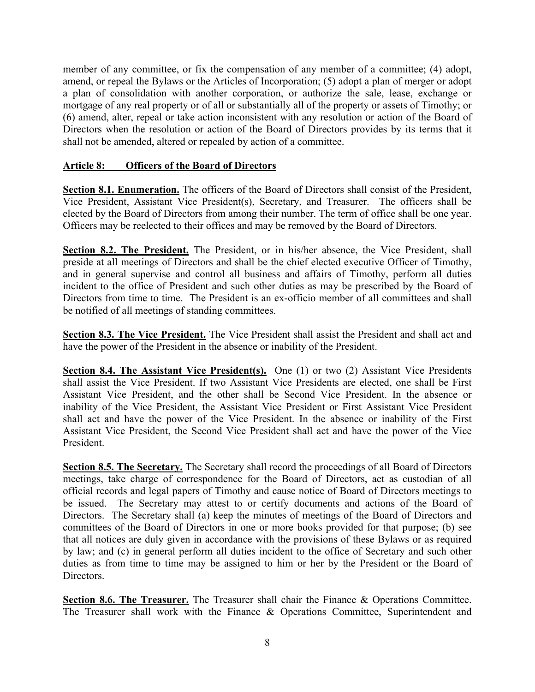member of any committee, or fix the compensation of any member of a committee; (4) adopt, amend, or repeal the Bylaws or the Articles of Incorporation; (5) adopt a plan of merger or adopt a plan of consolidation with another corporation, or authorize the sale, lease, exchange or mortgage of any real property or of all or substantially all of the property or assets of Timothy; or (6) amend, alter, repeal or take action inconsistent with any resolution or action of the Board of Directors when the resolution or action of the Board of Directors provides by its terms that it shall not be amended, altered or repealed by action of a committee.

#### **Article 8: Officers of the Board of Directors**

Section 8.1. Enumeration. The officers of the Board of Directors shall consist of the President, Vice President, Assistant Vice President(s), Secretary, and Treasurer. The officers shall be elected by the Board of Directors from among their number. The term of office shall be one year. Officers may be reelected to their offices and may be removed by the Board of Directors.

**Section 8.2. The President.** The President, or in his/her absence, the Vice President, shall preside at all meetings of Directors and shall be the chief elected executive Officer of Timothy, and in general supervise and control all business and affairs of Timothy, perform all duties incident to the office of President and such other duties as may be prescribed by the Board of Directors from time to time. The President is an ex-officio member of all committees and shall be notified of all meetings of standing committees.

**Section 8.3. The Vice President.** The Vice President shall assist the President and shall act and have the power of the President in the absence or inability of the President.

**Section 8.4. The Assistant Vice President(s).** One (1) or two (2) Assistant Vice Presidents shall assist the Vice President. If two Assistant Vice Presidents are elected, one shall be First Assistant Vice President, and the other shall be Second Vice President. In the absence or inability of the Vice President, the Assistant Vice President or First Assistant Vice President shall act and have the power of the Vice President. In the absence or inability of the First Assistant Vice President, the Second Vice President shall act and have the power of the Vice President.

**Section 8.5. The Secretary.** The Secretary shall record the proceedings of all Board of Directors meetings, take charge of correspondence for the Board of Directors, act as custodian of all official records and legal papers of Timothy and cause notice of Board of Directors meetings to be issued. The Secretary may attest to or certify documents and actions of the Board of Directors. The Secretary shall (a) keep the minutes of meetings of the Board of Directors and committees of the Board of Directors in one or more books provided for that purpose; (b) see that all notices are duly given in accordance with the provisions of these Bylaws or as required by law; and (c) in general perform all duties incident to the office of Secretary and such other duties as from time to time may be assigned to him or her by the President or the Board of Directors.

**Section 8.6. The Treasurer.** The Treasurer shall chair the Finance & Operations Committee. The Treasurer shall work with the Finance & Operations Committee, Superintendent and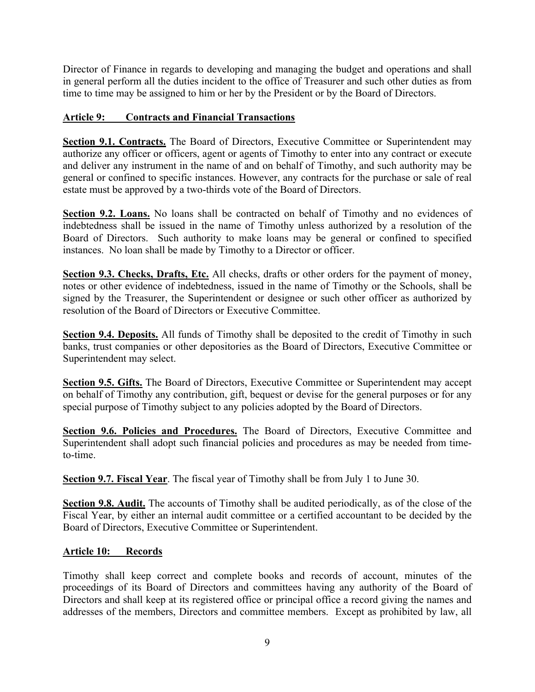Director of Finance in regards to developing and managing the budget and operations and shall in general perform all the duties incident to the office of Treasurer and such other duties as from time to time may be assigned to him or her by the President or by the Board of Directors.

# **Article 9: Contracts and Financial Transactions**

**Section 9.1. Contracts.** The Board of Directors, Executive Committee or Superintendent may authorize any officer or officers, agent or agents of Timothy to enter into any contract or execute and deliver any instrument in the name of and on behalf of Timothy, and such authority may be general or confined to specific instances. However, any contracts for the purchase or sale of real estate must be approved by a two-thirds vote of the Board of Directors.

**Section 9.2. Loans.** No loans shall be contracted on behalf of Timothy and no evidences of indebtedness shall be issued in the name of Timothy unless authorized by a resolution of the Board of Directors. Such authority to make loans may be general or confined to specified instances. No loan shall be made by Timothy to a Director or officer.

**Section 9.3. Checks, Drafts, Etc.** All checks, drafts or other orders for the payment of money, notes or other evidence of indebtedness, issued in the name of Timothy or the Schools, shall be signed by the Treasurer, the Superintendent or designee or such other officer as authorized by resolution of the Board of Directors or Executive Committee.

**Section 9.4. Deposits.** All funds of Timothy shall be deposited to the credit of Timothy in such banks, trust companies or other depositories as the Board of Directors, Executive Committee or Superintendent may select.

**Section 9.5. Gifts.** The Board of Directors, Executive Committee or Superintendent may accept on behalf of Timothy any contribution, gift, bequest or devise for the general purposes or for any special purpose of Timothy subject to any policies adopted by the Board of Directors.

**Section 9.6. Policies and Procedures.** The Board of Directors, Executive Committee and Superintendent shall adopt such financial policies and procedures as may be needed from timeto-time.

**Section 9.7. Fiscal Year**. The fiscal year of Timothy shall be from July 1 to June 30.

**Section 9.8. Audit.** The accounts of Timothy shall be audited periodically, as of the close of the Fiscal Year, by either an internal audit committee or a certified accountant to be decided by the Board of Directors, Executive Committee or Superintendent.

# **Article 10: Records**

Timothy shall keep correct and complete books and records of account, minutes of the proceedings of its Board of Directors and committees having any authority of the Board of Directors and shall keep at its registered office or principal office a record giving the names and addresses of the members, Directors and committee members. Except as prohibited by law, all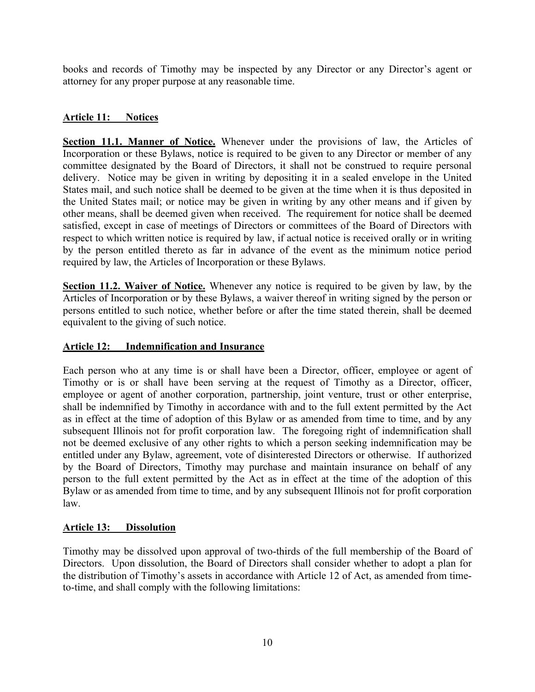books and records of Timothy may be inspected by any Director or any Director's agent or attorney for any proper purpose at any reasonable time.

# **Article 11: Notices**

**Section 11.1. Manner of Notice.** Whenever under the provisions of law, the Articles of Incorporation or these Bylaws, notice is required to be given to any Director or member of any committee designated by the Board of Directors, it shall not be construed to require personal delivery. Notice may be given in writing by depositing it in a sealed envelope in the United States mail, and such notice shall be deemed to be given at the time when it is thus deposited in the United States mail; or notice may be given in writing by any other means and if given by other means, shall be deemed given when received. The requirement for notice shall be deemed satisfied, except in case of meetings of Directors or committees of the Board of Directors with respect to which written notice is required by law, if actual notice is received orally or in writing by the person entitled thereto as far in advance of the event as the minimum notice period required by law, the Articles of Incorporation or these Bylaws.

**Section 11.2. Waiver of Notice.** Whenever any notice is required to be given by law, by the Articles of Incorporation or by these Bylaws, a waiver thereof in writing signed by the person or persons entitled to such notice, whether before or after the time stated therein, shall be deemed equivalent to the giving of such notice.

# **Article 12: Indemnification and Insurance**

Each person who at any time is or shall have been a Director, officer, employee or agent of Timothy or is or shall have been serving at the request of Timothy as a Director, officer, employee or agent of another corporation, partnership, joint venture, trust or other enterprise, shall be indemnified by Timothy in accordance with and to the full extent permitted by the Act as in effect at the time of adoption of this Bylaw or as amended from time to time, and by any subsequent Illinois not for profit corporation law. The foregoing right of indemnification shall not be deemed exclusive of any other rights to which a person seeking indemnification may be entitled under any Bylaw, agreement, vote of disinterested Directors or otherwise. If authorized by the Board of Directors, Timothy may purchase and maintain insurance on behalf of any person to the full extent permitted by the Act as in effect at the time of the adoption of this Bylaw or as amended from time to time, and by any subsequent Illinois not for profit corporation law.

# **Article 13: Dissolution**

Timothy may be dissolved upon approval of two-thirds of the full membership of the Board of Directors. Upon dissolution, the Board of Directors shall consider whether to adopt a plan for the distribution of Timothy's assets in accordance with Article 12 of Act, as amended from timeto-time, and shall comply with the following limitations: